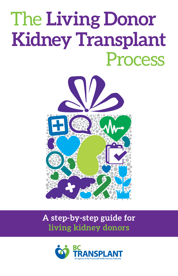# The **Living Donor Kidney Transplant**  Process



# **A step-by-step guide for living kidney donors**

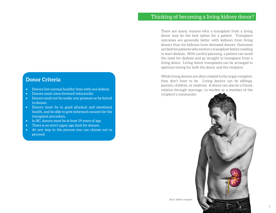# **Donor Criteria**

- • Donors live normal healthy lives with one kidney.
- • Donors must come forward voluntarily.
- • Donors must not be under any pressure or be forced to donate.
- Donors must be in good physical and emotional health, and be able to give informed consent for the transplant procedure.
- In BC, donors must be at least 19 years of age.
- There is no strict upper age limit for donors.
- • At any step in the process you can choose not to proceed.

There are many reasons why a transplant from a living donor may be the best option for a patient. Transplant outcomes are generally better with kidneys from living donors than for kidneys from deceased donors. Outcomes are best for patients who receive a transplant before needing to start dialysis. With careful planning, a patient can avoid the need for dialysis and go straight to transplant from a living donor. Living donor transplants can be arranged to optimize timing for both the donor and the recipient.

While living donors are often related to the organ recipient, they don't have to be. Living donors can be siblings, parents, children, or relatives. A donor can also be a friend, relative through marriage, co-worker or a member of the recipient's community.



*Bryn, kidney recipient*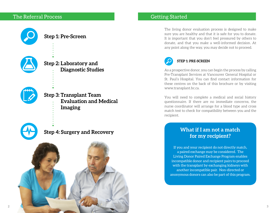# The Referral Process Getting Started







**Step 3: Transplant Team Evaluation and Medical Imaging**



# **Step 4: Surgery and Recovery**



The living donor evaluation process is designed to make sure you are healthy and that it is safe for you to donate. It is important that you don't feel pressured by others to donate, and that you make a well-informed decision. At any point along the way, you may decide not to proceed.



#### **STEP 1: PRE-SCREEN**

As a prospective donor, you can begin the process by calling Pre-Transplant Services at Vancouver General Hospital or St. Paul's Hospital. You can find contact information for these centres on the back of this brochure or by visiting [www.transplant.bc.ca](http://www.transplant.bc.ca).

You will need to complete a medical and social history questionnaire. If there are no immediate concerns, the nurse coordinator will arrange for a blood type and cross match test to check for compatibility between you and the recipient.

#### **What if I am not a match for my recipient?**

If you and your recipient do not directly match, a paired exchange may be considered. The Living Donor Paired Exchange Program enables incompatible donor and recipient pairs to proceed with the transplant by exchanging kidneys with another incompatible pair. Non-directed or anonymous donors can also be part of this program.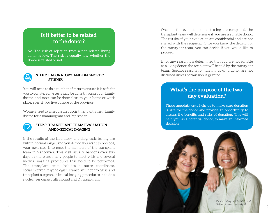#### **Is it better to be related to the donor?**

No. The risk of rejection from a non-related living donor is low. The risk is equally low whether the donor is related or not.



#### **STEP 2: LABORATORY AND DIAGNOSTIC STUDIES**

You will need to do a number of tests to ensure it is safe for you to donate. Some tests may be done through your family doctor, and most can be done close to your home or work place, even if you live outside of the province.

Women need to schedule an appointment with their family doctor for a mammogram and Pap smear.



#### **STEP 3: TRANSPLANT TEAM EVALUATION AND MEDICAL IMAGING**

If the results of the laboratory and diagnostic testing are within normal range, and you decide you want to proceed, your next step is to meet the members of the transplant team in Vancouver. This visit usually happens over two days as there are many people to meet with and several medical imaging procedures that need to be performed. The transplant team includes a nurse coordinator, social worker, psychologist, transplant nephrologist and transplant surgeon. Medical imaging procedures include a nuclear renogram, ultrasound and CT angiogram.

Once all the evaluations and testing are completed, the transplant team will determine if you are a suitable donor. The results of your evaluation are confidential and are not shared with the recipient. Once you know the decision of the transplant team, you can decide if you would like to proceed.

If for any reason it is determined that you are not suitable as a living donor, the recipient will be told by the transplant team. Specific reasons for turning down a donor are not disclosed unless permission is granted.

### **What's the purpose of the twoday evaluation?**

These appointments help us to make sure donation is safe for the donor and provide an opportunity to discuss the benefits and risks of donation. This will help you, as a potential donor, to make an informed decision.

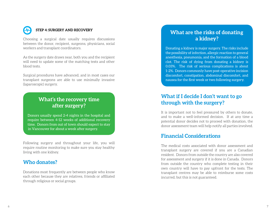

#### **STEP 4: SURGERY AND RECOVERY**

Choosing a surgical date usually requires discussions between the donor, recipient, surgeons, physicians, social workers and transplant coordinators.

As the surgery date draws near, both you and the recipient will need to update some of the matching tests and other blood tests.

Surgical procedures have advanced, and in most cases our transplant surgeons are able to use minimally invasive (laparoscopic) surgery.

# **What's the recovery time after surgery?**

Donors usually spend 2-4 nights in the hospital and require between 4-12 weeks of additional recovery time. Donors from out of town should expect to stay in Vancouver for about a week after surgery.

Following surgery and throughout your life, you will require routine monitoring to make sure you stay healthy living with one kidney.

#### **Who donates?**

Donations most frequently are between people who know each other because they are relatives, friends or affiliated through religious or social groups.

#### **What are the risks of donating a kidney?**

Donating a kidney is major surgery. The risks include the possibility of infection, allergic reaction to general anesthesia, pneumonia, and the formation of a blood clot. The risk of dying from donating a kidney is 0.03%. The risk of serious complications is about 1-2%. Donors commonly have post-operative incision discomfort, constipation, abdominal discomfort, and nausea for the first week or two following surgery.

# **What if I decide I don't want to go through with the surgery?**

It is important not to feel pressured by others to donate, and to make a well-informed decision. If at any time a potential donor decides not to proceed with donation, the donor assessment team will help notify all parties involved.

#### **Financial Considerations**

The medical costs associated with donor assessment and transplant surgery are covered if you are a Canadian resident. Donors from outside the country are also covered for assessment and surgery if it is done in Canada. Donors from outside the country who complete testing in their own country will have to pay upfront for the tests. The transplant centres may be able to reimburse some costs incurred, but this is not guaranteed.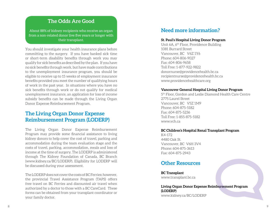#### **The Odds Are Good**

About 88% of kidney recipients who receive an organ from a non-related donor live five years or longer with their transplant.

You should investigate your health insurance plans before committing to the surgery. If you have banked sick time or short-term disability benefits through work you may qualify for sick benefits as described by the plan. If you have no sick benefits through work, but have made contributions to the unemployment insurance program, you should be eligible to receive up to 15 weeks of employment insurance benefits provided you meet the number of qualifying hours of work in the past year. In situations where you have no sick benefits through work or do not qualify for medical unemployment insurance, an application for loss of income subsidy benefits can be made through the Living Organ Donor Expense Reimbursement Program.

# **The Living Organ Donor Expense Reimbursement Program (LODERP)**

The Living Organ Donor Expense Reimbursement Program may provide some financial assistance to living kidney donors to help cover the cost of travel, parking and accommodation during the team evaluation stage and the costs of travel, parking, accommodation, meals and loss of income at the time of surgery. The LODERP is administered through The Kidney Foundation of Canada, BC Branch (www.kidney.ca/BC/LODERP). Eligibility for LODERP will be discussed during your assessment.

The LODERP does not cover the costs of BC Ferries; however, the provincial Travel Assistance Program (TAPS) offers free travel on BC Ferries and discounted air travel when authorized by a doctor to those with a BC CareCard. These forms can be obtained from your transplant coordinator or your family doctor.

# **Need more information?**

#### **St. Paul's Hospital Living Donor Program**

Unit 6A, 6th Floor, Providence Building 1081 Burrard Street Vancouver, BC V6Z 1Y6 Phone: 604-806-9027 Fax: 604-806-9658 Toll Free: 1-877-922-9822 [donornurse@providencehealth.bc.ca](mailto:donornurse%40providencehealth.bc.ca?subject=query%20from%20info%20booklet) [recipientnurse@providencehealth.bc.ca](mailto:recipientnurse%40providencehealth.bc.ca?subject=Query%20from%20BCT%20info%20booklet) [www.providencehealthcare.org](http://www.providencehealthcare.org           ) 

#### **Vancouver General Hospital Living Donor Program**

5th Floor, Gordon and Leslie Diamond Health Care Centre 2775 Laurel Street Vancouver, BC V5Z 1M9 Phone: 604-875-5182 Fax: 604-875-5236 Toll Free: 1-855-875-5182 [www.vch.ca](http://www.vch.ca     ) 

#### **BC Children's Hospital Renal Transplant Program**

K4-172 4480 Oak St. Vancouver, BC V6H 3V4 Phone: 604-875-3613 Fax: 604-875-2943

#### **Other Resources**

**BC Transplant**  [www.transplant.bc.ca](http://www.transplant.bc.ca)

**Living Organ Donor Expense Reimbursement Program (LODERP)** [www.kidney.ca/BC/LODERP](http://www.kidney.ca/BC/LODERP )